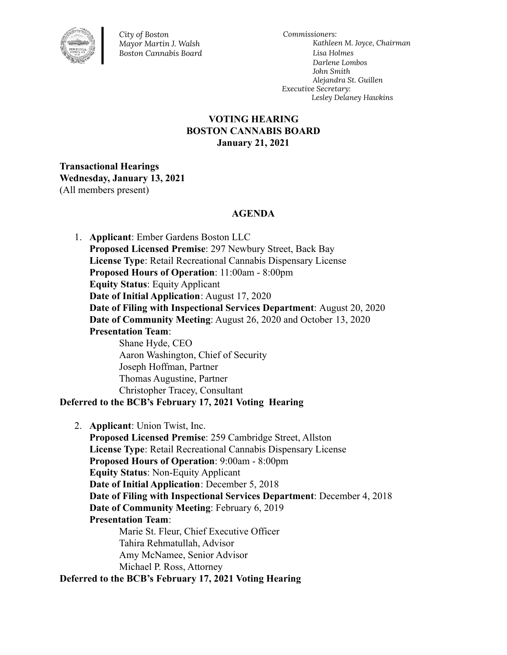

*City of Boston Mayor Martin J. Walsh Boston Cannabis Board*

*Commissioners: Kathleen M. Joyce, Chairman Lisa Holmes Darlene Lombos John Smith Alejandra St. Guillen Executive Secretary: Lesley Delaney Hawkins*

# **VOTING HEARING BOSTON CANNABIS BOARD January 21, 2021**

**Transactional Hearings Wednesday, January 13, 2021** (All members present)

### **AGENDA**

1. **Applicant**: Ember Gardens Boston LLC **Proposed Licensed Premise**: 297 Newbury Street, Back Bay **License Type**: Retail Recreational Cannabis Dispensary License **Proposed Hours of Operation**: 11:00am - 8:00pm **Equity Status**: Equity Applicant **Date of Initial Application**: August 17, 2020 **Date of Filing with Inspectional Services Department**: August 20, 2020 **Date of Community Meeting**: August 26, 2020 and October 13, 2020 **Presentation Team**: Shane Hyde, CEO Aaron Washington, Chief of Security Joseph Hoffman, Partner Thomas Augustine, Partner Christopher Tracey, Consultant **Deferred to the BCB's February 17, 2021 Voting Hearing**

2. **Applicant**: Union Twist, Inc. **Proposed Licensed Premise**: 259 Cambridge Street, Allston **License Type**: Retail Recreational Cannabis Dispensary License **Proposed Hours of Operation**: 9:00am - 8:00pm **Equity Status**: Non-Equity Applicant **Date of Initial Application**: December 5, 2018 **Date of Filing with Inspectional Services Department**: December 4, 2018 **Date of Community Meeting**: February 6, 2019 **Presentation Team**: Marie St. Fleur, Chief Executive Officer Tahira Rehmatullah, Advisor Amy McNamee, Senior Advisor Michael P. Ross, Attorney **Deferred to the BCB's February 17, 2021 Voting Hearing**